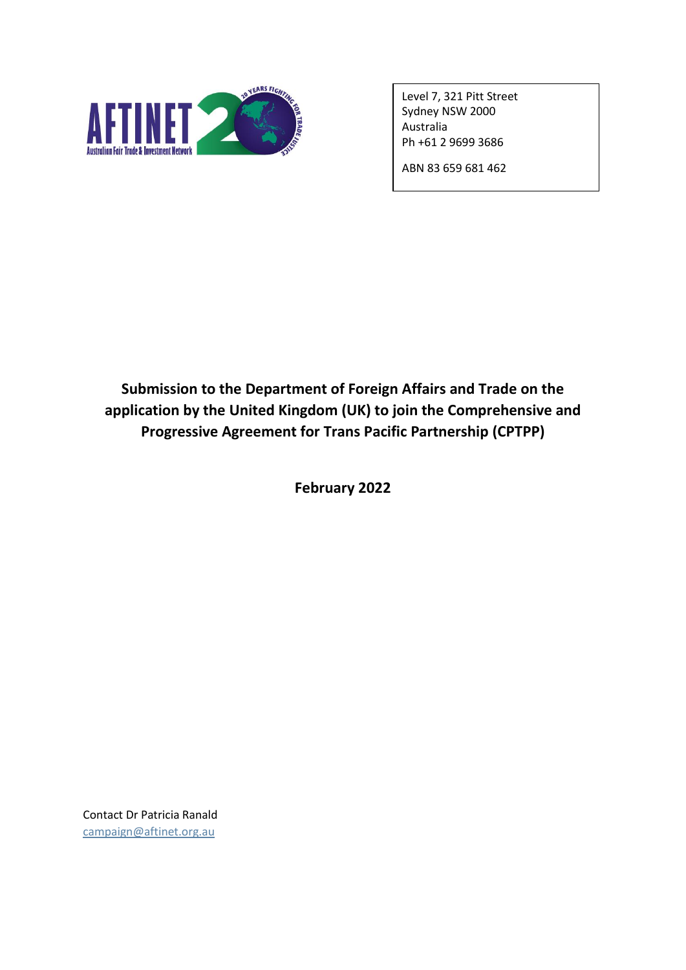

Level 7, 321 Pitt Street Sydney NSW 2000 Australia Ph +61 2 9699 3686

ABN 83 659 681 462

### **Submission to the Department of Foreign Affairs and Trade on the application by the United Kingdom (UK) to join the Comprehensive and Progressive Agreement for Trans Pacific Partnership (CPTPP)**

**February 2022**

Contact Dr Patricia Ranald [campaign@aftinet.org.au](mailto:campaign@aftinet.org.au)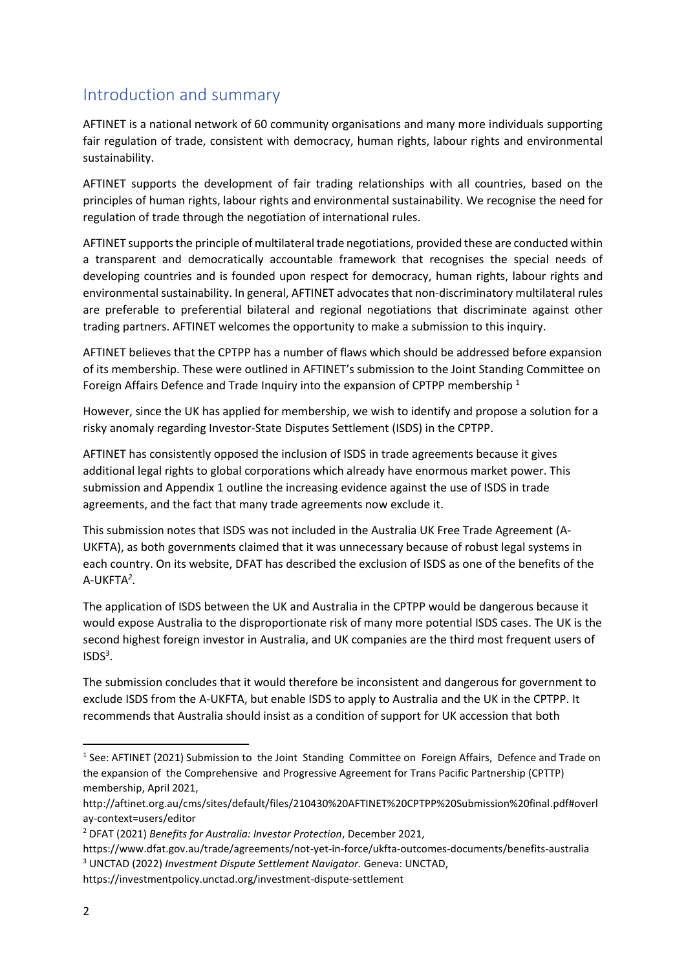### Introduction and summary

AFTINET is a national network of 60 community organisations and many more individuals supporting fair regulation of trade, consistent with democracy, human rights, labour rights and environmental sustainability.

AFTINET supports the development of fair trading relationships with all countries, based on the principles of human rights, labour rights and environmental sustainability. We recognise the need for regulation of trade through the negotiation of international rules.

AFTINET supports the principle of multilateral trade negotiations, provided these are conducted within a transparent and democratically accountable framework that recognises the special needs of developing countries and is founded upon respect for democracy, human rights, labour rights and environmental sustainability. In general, AFTINET advocates that non-discriminatory multilateral rules are preferable to preferential bilateral and regional negotiations that discriminate against other trading partners. AFTINET welcomes the opportunity to make a submission to this inquiry.

AFTINET believes that the CPTPP has a number of flaws which should be addressed before expansion of its membership. These were outlined in AFTINET's submission to the Joint Standing Committee on Foreign Affairs Defence and Trade Inquiry into the expansion of CPTPP membership  $<sup>1</sup>$ </sup>

However, since the UK has applied for membership, we wish to identify and propose a solution for a risky anomaly regarding Investor-State Disputes Settlement (ISDS) in the CPTPP.

AFTINET has consistently opposed the inclusion of ISDS in trade agreements because it gives additional legal rights to global corporations which already have enormous market power. This submission and Appendix 1 outline the increasing evidence against the use of ISDS in trade agreements, and the fact that many trade agreements now exclude it.

This submission notes that ISDS was not included in the Australia UK Free Trade Agreement (A-UKFTA), as both governments claimed that it was unnecessary because of robust legal systems in each country. On its website, DFAT has described the exclusion of ISDS as one of the benefits of the A-UKFTA*<sup>2</sup>* .

The application of ISDS between the UK and Australia in the CPTPP would be dangerous because it would expose Australia to the disproportionate risk of many more potential ISDS cases. The UK is the second highest foreign investor in Australia, and UK companies are the third most frequent users of  $ISDS<sup>3</sup>$ .

The submission concludes that it would therefore be inconsistent and dangerous for government to exclude ISDS from the A-UKFTA, but enable ISDS to apply to Australia and the UK in the CPTPP. It recommends that Australia should insist as a condition of support for UK accession that both

<sup>&</sup>lt;sup>1</sup> See: AFTINET (2021) Submission to the Joint Standing Committee on Foreign Affairs, Defence and Trade on the expansion of the Comprehensive and Progressive Agreement for Trans Pacific Partnership (CPTTP) membership, April 2021,

http://aftinet.org.au/cms/sites/default/files/210430%20AFTINET%20CPTPP%20Submission%20final.pdf#overl ay-context=users/editor

<sup>2</sup> DFAT (2021) *Benefits for Australia: Investor Protection*, December 2021,

https://www.dfat.gov.au/trade/agreements/not-yet-in-force/ukfta-outcomes-documents/benefits-australia <sup>3</sup> UNCTAD (2022) *Investment Dispute Settlement Navigator.* Geneva: UNCTAD,

https://investmentpolicy.unctad.org/investment-dispute-settlement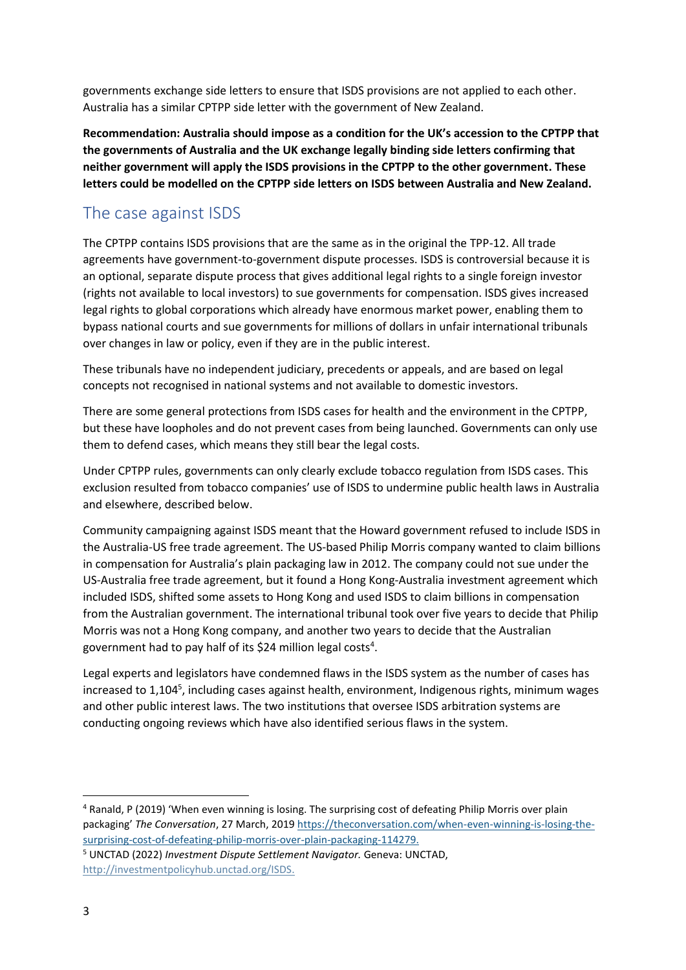governments exchange side letters to ensure that ISDS provisions are not applied to each other. Australia has a similar CPTPP side letter with the government of New Zealand.

**Recommendation: Australia should impose as a condition for the UK's accession to the CPTPP that the governments of Australia and the UK exchange legally binding side letters confirming that neither government will apply the ISDS provisions in the CPTPP to the other government. These letters could be modelled on the CPTPP side letters on ISDS between Australia and New Zealand.**

### The case against ISDS

The CPTPP contains ISDS provisions that are the same as in the original the TPP-12. All trade agreements have government-to-government dispute processes. ISDS is controversial because it is an optional, separate dispute process that gives additional legal rights to a single foreign investor (rights not available to local investors) to sue governments for compensation. ISDS gives increased legal rights to global corporations which already have enormous market power, enabling them to bypass national courts and sue governments for millions of dollars in unfair international tribunals over changes in law or policy, even if they are in the public interest.

These tribunals have no independent judiciary, precedents or appeals, and are based on legal concepts not recognised in national systems and not available to domestic investors.

There are some general protections from ISDS cases for health and the environment in the CPTPP, but these have loopholes and do not prevent cases from being launched. Governments can only use them to defend cases, which means they still bear the legal costs.

Under CPTPP rules, governments can only clearly exclude tobacco regulation from ISDS cases. This exclusion resulted from tobacco companies' use of ISDS to undermine public health laws in Australia and elsewhere, described below.

Community campaigning against ISDS meant that the Howard government refused to include ISDS in the Australia-US free trade agreement. The US-based Philip Morris company wanted to claim billions in compensation for Australia's plain packaging law in 2012. The company could not sue under the US-Australia free trade agreement, but it found a Hong Kong-Australia investment agreement which included ISDS, shifted some assets to Hong Kong and used ISDS to claim billions in compensation from the Australian government. The international tribunal took over five years to decide that Philip Morris was not a Hong Kong company, and another two years to decide that the Australian government had to pay half of its \$24 million legal costs<sup>4</sup>.

Legal experts and legislators have condemned flaws in the ISDS system as the number of cases has increased to 1,104<sup>5</sup>, including cases against health, environment, Indigenous rights, minimum wages and other public interest laws. The two institutions that oversee ISDS arbitration systems are conducting ongoing reviews which have also identified serious flaws in the system.

<sup>4</sup> Ranald, P (2019) 'When even winning is losing. The surprising cost of defeating Philip Morris over plain packaging' *The Conversation*, 27 March, 2019 [https://theconversation.com/when-even-winning-is-losing-the](https://theconversation.com/when-even-winning-is-losing-the-surprising-cost-of-defeating-philip-morris-over-plain-packaging-114279)[surprising-cost-of-defeating-philip-morris-over-plain-packaging-114279.](https://theconversation.com/when-even-winning-is-losing-the-surprising-cost-of-defeating-philip-morris-over-plain-packaging-114279)

<sup>5</sup> UNCTAD (2022) *Investment Dispute Settlement Navigator.* Geneva: UNCTAD, [http://investmentpolicyhub.unctad.org/ISDS.](http://investmentpolicyhub.unctad.org/ISDS)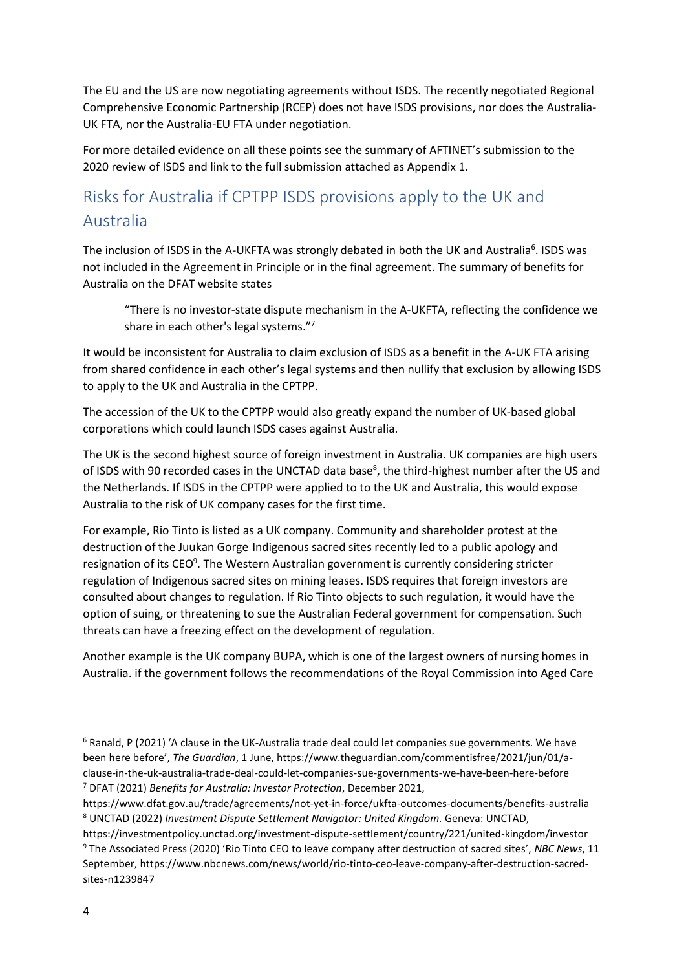The EU and the US are now negotiating agreements without ISDS. The recently negotiated Regional Comprehensive Economic Partnership (RCEP) does not have ISDS provisions, nor does the Australia-UK FTA, nor the Australia-EU FTA under negotiation.

For more detailed evidence on all these points see the summary of AFTINET's submission to the 2020 review of ISDS and link to the full submission attached as Appendix 1.

# Risks for Australia if CPTPP ISDS provisions apply to the UK and Australia

The inclusion of ISDS in the A-UKFTA was strongly debated in both the UK and Australia<sup>6</sup>. ISDS was not included in the Agreement in Principle or in the final agreement. The summary of benefits for Australia on the DFAT website states

"There is no investor-state dispute mechanism in the A-UKFTA, reflecting the confidence we share in each other's legal systems."<sup>7</sup>

It would be inconsistent for Australia to claim exclusion of ISDS as a benefit in the A-UK FTA arising from shared confidence in each other's legal systems and then nullify that exclusion by allowing ISDS to apply to the UK and Australia in the CPTPP.

The accession of the UK to the CPTPP would also greatly expand the number of UK-based global corporations which could launch ISDS cases against Australia.

The UK is the second highest source of foreign investment in Australia. UK companies are high users of ISDS with 90 recorded cases in the UNCTAD data base<sup>8</sup>, the third-highest number after the US and the Netherlands. If ISDS in the CPTPP were applied to to the UK and Australia, this would expose Australia to the risk of UK company cases for the first time.

For example, Rio Tinto is listed as a UK company. Community and shareholder protest at the destruction of the Juukan Gorge Indigenous sacred sites recently led to a public apology and resignation of its CEO<sup>9</sup>. The Western Australian government is currently considering stricter regulation of Indigenous sacred sites on mining leases. ISDS requires that foreign investors are consulted about changes to regulation. If Rio Tinto objects to such regulation, it would have the option of suing, or threatening to sue the Australian Federal government for compensation. Such threats can have a freezing effect on the development of regulation.

Another example is the UK company BUPA, which is one of the largest owners of nursing homes in Australia. if the government follows the recommendations of the Royal Commission into Aged Care

<sup>6</sup> Ranald, P (2021) 'A clause in the UK-Australia trade deal could let companies sue governments. We have been here before', *The Guardian*, 1 June, https://www.theguardian.com/commentisfree/2021/jun/01/aclause-in-the-uk-australia-trade-deal-could-let-companies-sue-governments-we-have-been-here-before <sup>7</sup> DFAT (2021) *Benefits for Australia: Investor Protection*, December 2021,

https://www.dfat.gov.au/trade/agreements/not-yet-in-force/ukfta-outcomes-documents/benefits-australia <sup>8</sup> UNCTAD (2022) *Investment Dispute Settlement Navigator: United Kingdom.* Geneva: UNCTAD,

https://investmentpolicy.unctad.org/investment-dispute-settlement/country/221/united-kingdom/investor <sup>9</sup> The Associated Press (2020) 'Rio Tinto CEO to leave company after destruction of sacred sites', *NBC News*, 11 September, https://www.nbcnews.com/news/world/rio-tinto-ceo-leave-company-after-destruction-sacredsites-n1239847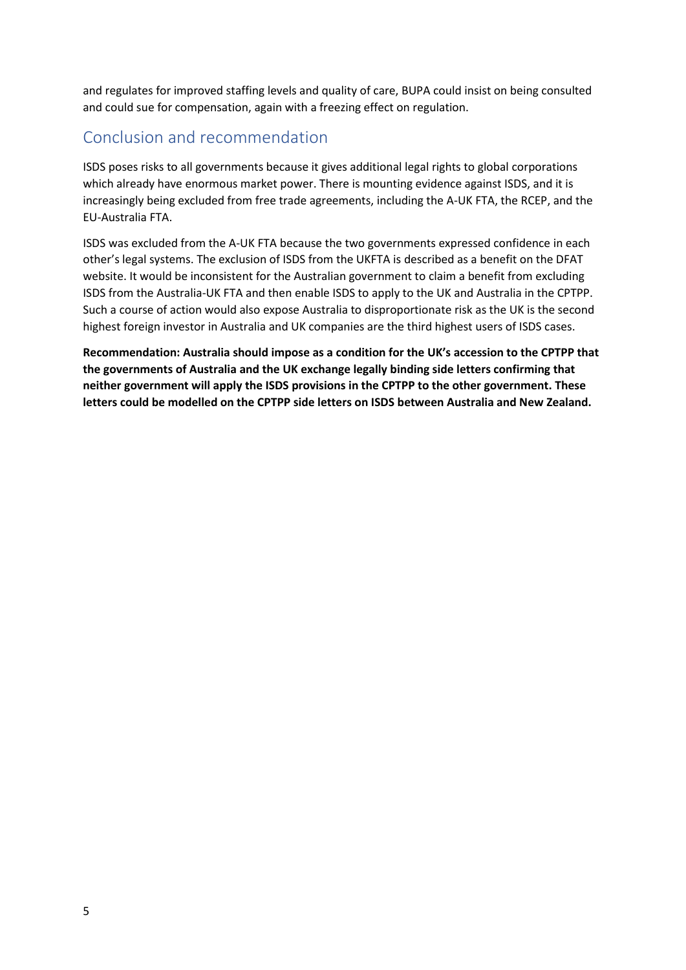and regulates for improved staffing levels and quality of care, BUPA could insist on being consulted and could sue for compensation, again with a freezing effect on regulation.

#### Conclusion and recommendation

ISDS poses risks to all governments because it gives additional legal rights to global corporations which already have enormous market power. There is mounting evidence against ISDS, and it is increasingly being excluded from free trade agreements, including the A-UK FTA, the RCEP, and the EU-Australia FTA.

ISDS was excluded from the A-UK FTA because the two governments expressed confidence in each other's legal systems. The exclusion of ISDS from the UKFTA is described as a benefit on the DFAT website. It would be inconsistent for the Australian government to claim a benefit from excluding ISDS from the Australia-UK FTA and then enable ISDS to apply to the UK and Australia in the CPTPP. Such a course of action would also expose Australia to disproportionate risk as the UK is the second highest foreign investor in Australia and UK companies are the third highest users of ISDS cases.

**Recommendation: Australia should impose as a condition for the UK's accession to the CPTPP that the governments of Australia and the UK exchange legally binding side letters confirming that neither government will apply the ISDS provisions in the CPTPP to the other government. These letters could be modelled on the CPTPP side letters on ISDS between Australia and New Zealand.**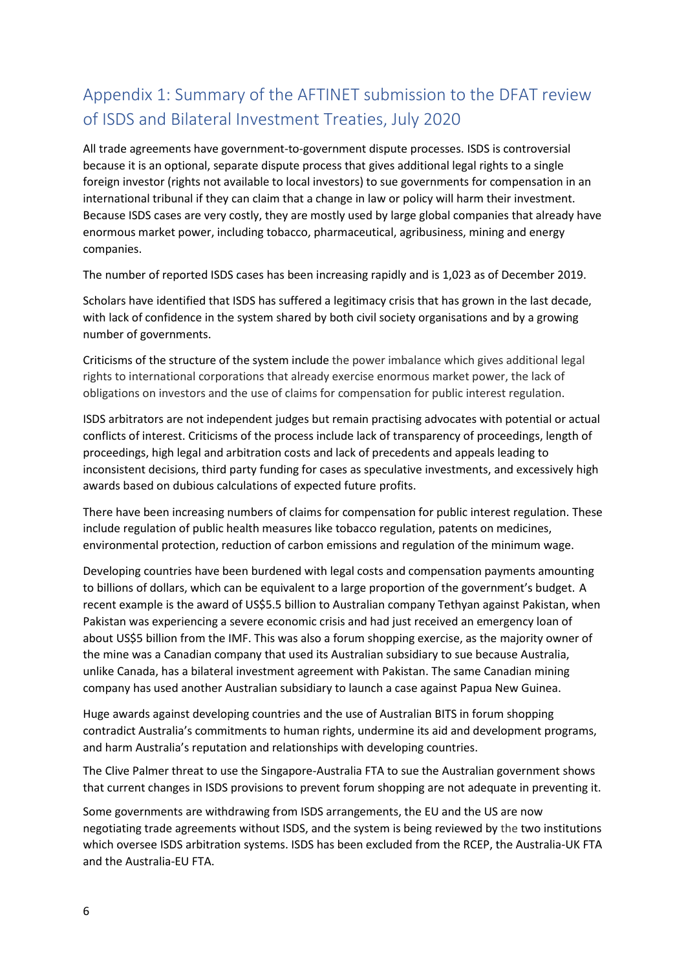# Appendix 1: Summary of the AFTINET submission to the DFAT review of ISDS and Bilateral Investment Treaties, July 2020

All trade agreements have government-to-government dispute processes. ISDS is controversial because it is an optional, separate dispute process that gives additional legal rights to a single foreign investor (rights not available to local investors) to sue governments for compensation in an international tribunal if they can claim that a change in law or policy will harm their investment. Because ISDS cases are very costly, they are mostly used by large global companies that already have enormous market power, including tobacco, pharmaceutical, agribusiness, mining and energy companies.

The number of reported ISDS cases has been increasing rapidly and is 1,023 as of December 2019.

Scholars have identified that ISDS has suffered a legitimacy crisis that has grown in the last decade, with lack of confidence in the system shared by both civil society organisations and by a growing number of governments.

Criticisms of the structure of the system include the power imbalance which gives additional legal rights to international corporations that already exercise enormous market power, the lack of obligations on investors and the use of claims for compensation for public interest regulation.

ISDS arbitrators are not independent judges but remain practising advocates with potential or actual conflicts of interest. Criticisms of the process include lack of transparency of proceedings, length of proceedings, high legal and arbitration costs and lack of precedents and appeals leading to inconsistent decisions, third party funding for cases as speculative investments, and excessively high awards based on dubious calculations of expected future profits.

There have been increasing numbers of claims for compensation for public interest regulation. These include regulation of public health measures like tobacco regulation, patents on medicines, environmental protection, reduction of carbon emissions and regulation of the minimum wage.

Developing countries have been burdened with legal costs and compensation payments amounting to billions of dollars, which can be equivalent to a large proportion of the government's budget. A recent example is the award of US\$5.5 billion to Australian company Tethyan against Pakistan, when Pakistan was experiencing a severe economic crisis and had just received an emergency loan of about US\$5 billion from the IMF. This was also a forum shopping exercise, as the majority owner of the mine was a Canadian company that used its Australian subsidiary to sue because Australia, unlike Canada, has a bilateral investment agreement with Pakistan. The same Canadian mining company has used another Australian subsidiary to launch a case against Papua New Guinea.

Huge awards against developing countries and the use of Australian BITS in forum shopping contradict Australia's commitments to human rights, undermine its aid and development programs, and harm Australia's reputation and relationships with developing countries.

The Clive Palmer threat to use the Singapore-Australia FTA to sue the Australian government shows that current changes in ISDS provisions to prevent forum shopping are not adequate in preventing it.

Some governments are withdrawing from ISDS arrangements, the EU and the US are now negotiating trade agreements without ISDS, and the system is being reviewed by the two institutions which oversee ISDS arbitration systems. ISDS has been excluded from the RCEP, the Australia-UK FTA and the Australia-EU FTA.